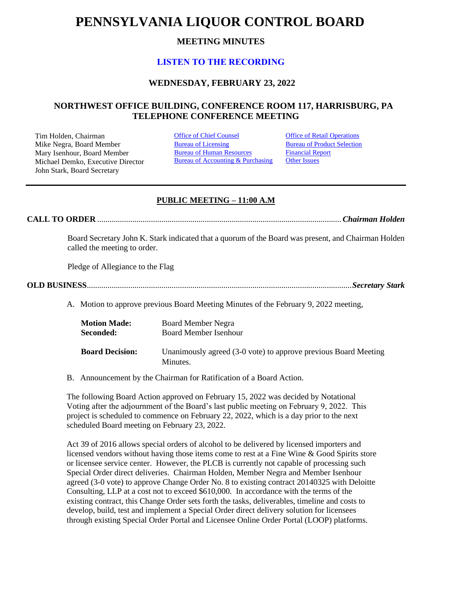# **PENNSYLVANIA LIQUOR CONTROL BOARD**

# **MEETING MINUTES**

# **[LISTEN TO THE RECORDING](https://youtu.be/_I-gMMSjD40)**

## **WEDNESDAY, FEBRUARY 23, 2022**

## **NORTHWEST OFFICE BUILDING, CONFERENCE ROOM 117, HARRISBURG, PA TELEPHONE CONFERENCE MEETING**

Tim Holden, Chairman **[Office of Chief Counsel](#page-1-0)** Office [of Retail Operations](#page-9-0)<br>
Mike Negra. Board Member **Bureau of Licensing** Bureau of Product Selection Mike Negra, Board Member Mary Isenhour, Board Member Michael Demko, Executive Director John Stark, Board Secretary

[Bureau of Human Resources](#page-7-0) Bureau of Accounting & Purchasing [Financial Report](#page-8-0) **[Other Issues](#page-12-0)** 

## **PUBLIC MEETING – 11:00 A.M**

**CALL TO ORDER** ......................................................................................................................*Chairman Holden*

Board Secretary John K. Stark indicated that a quorum of the Board was present, and Chairman Holden called the meeting to order.

Pledge of Allegiance to the Flag

**OLD BUSINESS**................................................................................................................................*Secretary Stark*

A. Motion to approve previous Board Meeting Minutes of the February 9, 2022 meeting,

| <b>Motion Made:</b>    | <b>Board Member Negra</b>                                                   |
|------------------------|-----------------------------------------------------------------------------|
| Seconded:              | <b>Board Member Isenhour</b>                                                |
| <b>Board Decision:</b> | Unanimously agreed (3-0 vote) to approve previous Board Meeting<br>Minutes. |

B. Announcement by the Chairman for Ratification of a Board Action.

The following Board Action approved on February 15, 2022 was decided by Notational Voting after the adjournment of the Board's last public meeting on February 9, 2022. This project is scheduled to commence on February 22, 2022, which is a day prior to the next scheduled Board meeting on February 23, 2022.

Act 39 of 2016 allows special orders of alcohol to be delivered by licensed importers and licensed vendors without having those items come to rest at a Fine Wine & Good Spirits store or licensee service center. However, the PLCB is currently not capable of processing such Special Order direct deliveries. Chairman Holden, Member Negra and Member Isenhour agreed (3-0 vote) to approve Change Order No. 8 to existing contract 20140325 with Deloitte Consulting, LLP at a cost not to exceed \$610,000. In accordance with the terms of the existing contract, this Change Order sets forth the tasks, deliverables, timeline and costs to develop, build, test and implement a Special Order direct delivery solution for licensees through existing Special Order Portal and Licensee Online Order Portal (LOOP) platforms.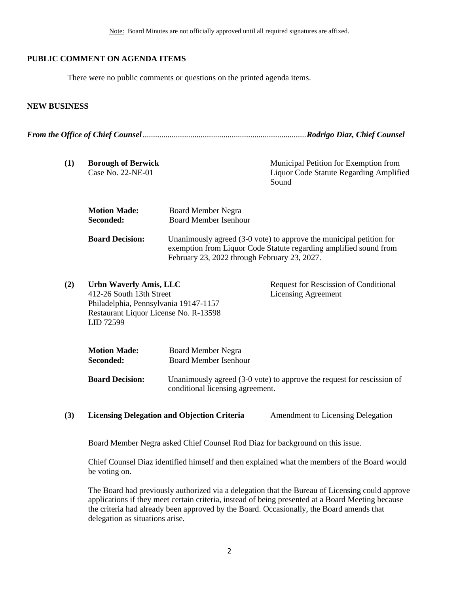## **PUBLIC COMMENT ON AGENDA ITEMS**

There were no public comments or questions on the printed agenda items.

#### **NEW BUSINESS**

*From the Office of Chief Counsel*...............................................................................*Rodrigo Diaz, Chief Counsel*

<span id="page-1-0"></span>

| (1) | <b>Borough of Berwick</b><br>Case No. 22-NE-01                                                                                                    |                                                           | Municipal Petition for Exemption from<br><b>Liquor Code Statute Regarding Amplified</b><br>Sound                                         |
|-----|---------------------------------------------------------------------------------------------------------------------------------------------------|-----------------------------------------------------------|------------------------------------------------------------------------------------------------------------------------------------------|
|     | <b>Motion Made:</b><br>Seconded:                                                                                                                  | <b>Board Member Negra</b><br><b>Board Member Isenhour</b> |                                                                                                                                          |
|     | <b>Board Decision:</b>                                                                                                                            | February 23, 2022 through February 23, 2027.              | Unanimously agreed (3-0 vote) to approve the municipal petition for<br>exemption from Liquor Code Statute regarding amplified sound from |
| (2) | Urbn Waverly Amis, LLC<br>412-26 South 13th Street<br>Philadelphia, Pennsylvania 19147-1157<br>Restaurant Liquor License No. R-13598<br>LID 72599 |                                                           | Request for Rescission of Conditional<br><b>Licensing Agreement</b>                                                                      |
|     | <b>Motion Made:</b><br>Seconded:                                                                                                                  | <b>Board Member Negra</b><br><b>Board Member Isenhour</b> |                                                                                                                                          |
|     | <b>Board Decision:</b>                                                                                                                            | conditional licensing agreement.                          | Unanimously agreed $(3-0)$ vote) to approve the request for rescission of                                                                |

**(3) Licensing Delegation and Objection Criteria** Amendment to Licensing Delegation

Board Member Negra asked Chief Counsel Rod Diaz for background on this issue.

Chief Counsel Diaz identified himself and then explained what the members of the Board would be voting on.

The Board had previously authorized via a delegation that the Bureau of Licensing could approve applications if they meet certain criteria, instead of being presented at a Board Meeting because the criteria had already been approved by the Board. Occasionally, the Board amends that delegation as situations arise.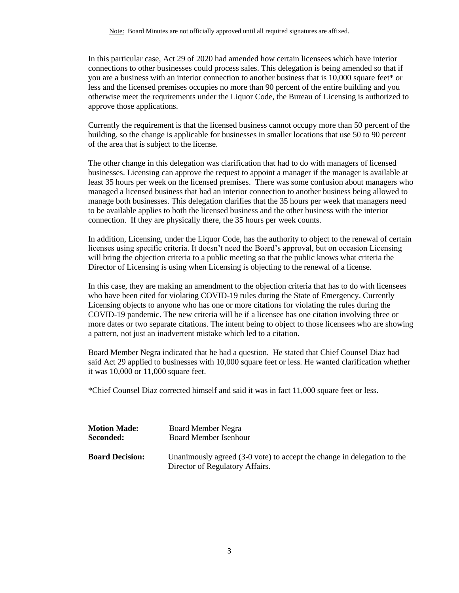In this particular case, Act 29 of 2020 had amended how certain licensees which have interior connections to other businesses could process sales. This delegation is being amended so that if you are a business with an interior connection to another business that is 10,000 square feet\* or less and the licensed premises occupies no more than 90 percent of the entire building and you otherwise meet the requirements under the Liquor Code, the Bureau of Licensing is authorized to approve those applications.

Currently the requirement is that the licensed business cannot occupy more than 50 percent of the building, so the change is applicable for businesses in smaller locations that use 50 to 90 percent of the area that is subject to the license.

The other change in this delegation was clarification that had to do with managers of licensed businesses. Licensing can approve the request to appoint a manager if the manager is available at least 35 hours per week on the licensed premises. There was some confusion about managers who managed a licensed business that had an interior connection to another business being allowed to manage both businesses. This delegation clarifies that the 35 hours per week that managers need to be available applies to both the licensed business and the other business with the interior connection. If they are physically there, the 35 hours per week counts.

In addition, Licensing, under the Liquor Code, has the authority to object to the renewal of certain licenses using specific criteria. It doesn't need the Board's approval, but on occasion Licensing will bring the objection criteria to a public meeting so that the public knows what criteria the Director of Licensing is using when Licensing is objecting to the renewal of a license.

In this case, they are making an amendment to the objection criteria that has to do with licensees who have been cited for violating COVID-19 rules during the State of Emergency. Currently Licensing objects to anyone who has one or more citations for violating the rules during the COVID-19 pandemic. The new criteria will be if a licensee has one citation involving three or more dates or two separate citations. The intent being to object to those licensees who are showing a pattern, not just an inadvertent mistake which led to a citation.

Board Member Negra indicated that he had a question. He stated that Chief Counsel Diaz had said Act 29 applied to businesses with 10,000 square feet or less. He wanted clarification whether it was 10,000 or 11,000 square feet.

\*Chief Counsel Diaz corrected himself and said it was in fact 11,000 square feet or less.

| <b>Motion Made:</b>    | Board Member Negra                                                                                         |
|------------------------|------------------------------------------------------------------------------------------------------------|
| Seconded:              | <b>Board Member Isenhour</b>                                                                               |
| <b>Board Decision:</b> | Unanimously agreed (3-0 vote) to accept the change in delegation to the<br>Director of Regulatory Affairs. |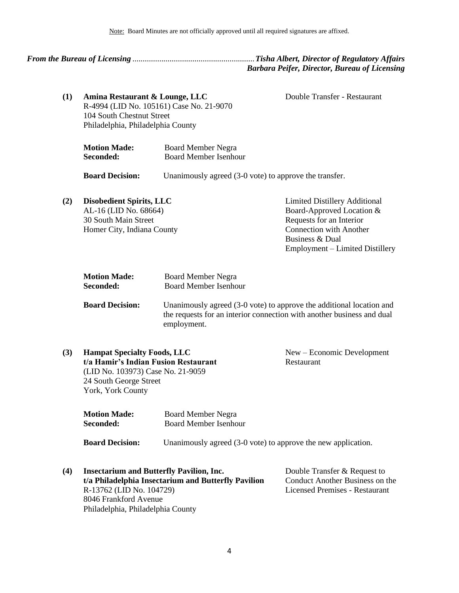<span id="page-3-0"></span>

*From the Bureau of Licensing* ...........................................................*Tisha Albert, Director of Regulatory Affairs Barbara Peifer, Director, Bureau of Licensing*

Double Transfer - Restaurant

**(1) Amina Restaurant & Lounge, LLC** R-4994 (LID No. 105161) Case No. 21-9070 104 South Chestnut Street Philadelphia, Philadelphia County

| <b>Motion Made:</b> | <b>Board Member Negra</b>    |
|---------------------|------------------------------|
| <b>Seconded:</b>    | <b>Board Member Isenhour</b> |

**Board Decision:** Unanimously agreed (3-0 vote) to approve the transfer.

| (2) | <b>Disobedient Spirits, LLC</b> | <b>Limited Distillery Additional</b> |
|-----|---------------------------------|--------------------------------------|
|     | AL-16 (LID No. 68664)           | Board-Approved Location &            |
|     | 30 South Main Street            | Requests for an Interior             |
|     | Homer City, Indiana County      | <b>Connection with Another</b>       |
|     |                                 | Business & Dual                      |
|     |                                 | Employment – Limited Distillery      |

| <b>Motion Made:</b> | <b>Board Member Negra</b>    |
|---------------------|------------------------------|
| Seconded:           | <b>Board Member Isenhour</b> |

**Board Decision:** Unanimously agreed (3-0 vote) to approve the additional location and the requests for an interior connection with another business and dual employment.

| (3) | <b>Hampat Specialty Foods, LLC</b>   | $New - Economic Development$ |
|-----|--------------------------------------|------------------------------|
|     | t/a Hamir's Indian Fusion Restaurant | Restaurant                   |
|     | (LID No. 103973) Case No. 21-9059    |                              |
|     | 24 South George Street               |                              |
|     | York, York County                    |                              |
|     |                                      |                              |
|     |                                      |                              |

| <b>Motion Made:</b> | <b>Board Member Negra</b>    |
|---------------------|------------------------------|
| Seconded:           | <b>Board Member Isenhour</b> |
|                     |                              |

**Board Decision:** Unanimously agreed (3-0 vote) to approve the new application.

| (4) | <b>Insectarium and Butterfly Pavilion, Inc.</b>     | Double Transfer & Request to    |
|-----|-----------------------------------------------------|---------------------------------|
|     | t/a Philadelphia Insectarium and Butterfly Pavilion | Conduct Another Business on the |
|     | R-13762 (LID No. 104729)                            | Licensed Premises - Restaurant  |
|     | 8046 Frankford Avenue                               |                                 |
|     | Philadelphia, Philadelphia County                   |                                 |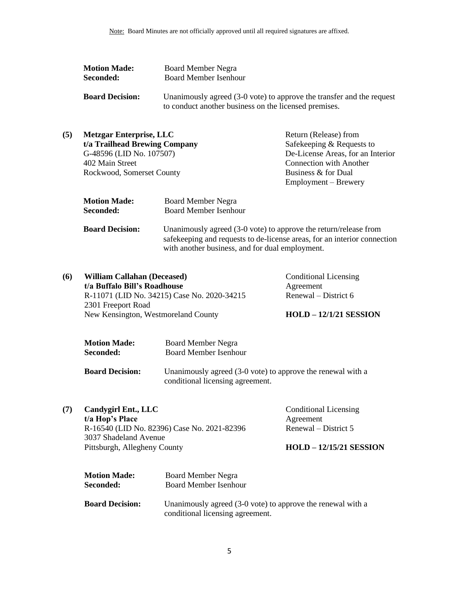| <b>Motion Made:</b>    | Board Member Negra                                                    |  |
|------------------------|-----------------------------------------------------------------------|--|
| Seconded:              | Board Member Isenhour                                                 |  |
|                        |                                                                       |  |
| <b>Board Decision:</b> | Unanimously agreed (3-0 vote) to approve the transfer and the request |  |
|                        | to conduct another business on the licensed premises.                 |  |

| (5) | <b>Metzgar Enterprise, LLC</b> | Return (Release) from             |
|-----|--------------------------------|-----------------------------------|
|     | t/a Trailhead Brewing Company  | Safekeeping & Requests to         |
|     | G-48596 (LID No. 107507)       | De-License Areas, for an Interior |
|     | 402 Main Street                | <b>Connection with Another</b>    |
|     | Rockwood, Somerset County      | Business & for Dual               |
|     |                                | Employment – Brewery              |

| <b>Motion Made:</b>    | <b>Board Member Negra</b>                                                                                                                                                                       |
|------------------------|-------------------------------------------------------------------------------------------------------------------------------------------------------------------------------------------------|
| Seconded:              | <b>Board Member Isenhour</b>                                                                                                                                                                    |
| <b>Board Decision:</b> | Unanimously agreed (3-0 vote) to approve the return/release from<br>safekeeping and requests to de-license areas, for an interior connection<br>with another business, and for dual employment. |

**(6) William Callahan (Deceased) t/a Buffalo Bill's Roadhouse** R-11071 (LID No. 34215) Case No. 2020-34215 2301 Freeport Road New Kensington, Westmoreland County

Conditional Licensing Agreement Renewal – District 6

#### **HOLD – 12/1/21 SESSION**

| <b>Motion Made:</b> | Board Member Negra                                                                                                                                                                                                                                                                                                                                |
|---------------------|---------------------------------------------------------------------------------------------------------------------------------------------------------------------------------------------------------------------------------------------------------------------------------------------------------------------------------------------------|
| <b>Seconded:</b>    | Board Member Isenhour                                                                                                                                                                                                                                                                                                                             |
| יי חו"ח             | $\mathbf{I} \mathbf{I}$ , $\mathbf{I} \mathbf{I}$ , $\mathbf{I} \mathbf{I}$ , $\mathbf{I} \mathbf{I}$ , $\mathbf{I} \mathbf{I}$ , $\mathbf{I} \mathbf{I}$ , $\mathbf{I} \mathbf{I}$ , $\mathbf{I} \mathbf{I}$ , $\mathbf{I} \mathbf{I}$ , $\mathbf{I} \mathbf{I}$ , $\mathbf{I} \mathbf{I}$ , $\mathbf{I} \mathbf{I}$ , $\mathbf{I} \mathbf{I}$ , |

**Board Decision:** Unanimously agreed (3-0 vote) to approve the renewal with a conditional licensing agreement.

| (7) | <b>Candygirl Ent., LLC</b>                  | <b>Conditional Licensing</b> |
|-----|---------------------------------------------|------------------------------|
|     | t/a Hop's Place                             | Agreement                    |
|     | R-16540 (LID No. 82396) Case No. 2021-82396 | Renewal – District 5         |
|     | 3037 Shadeland Avenue                       |                              |
|     | Pittsburgh, Allegheny County                | $HOLD - 12/15/21$ SESSION    |
|     |                                             |                              |

| <b>Motion Made:</b>    | Board Member Negra                                                                              |
|------------------------|-------------------------------------------------------------------------------------------------|
| Seconded:              | <b>Board Member Isenhour</b>                                                                    |
| <b>Board Decision:</b> | Unanimously agreed (3-0 vote) to approve the renewal with a<br>conditional licensing agreement. |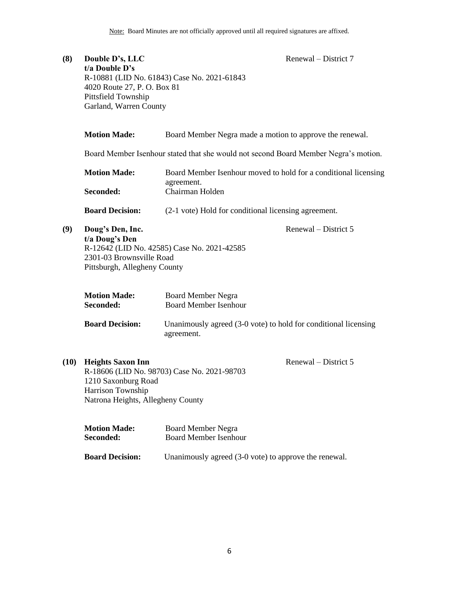| (8)  | Double D's, LLC<br>t/a Double D's<br>4020 Route 27, P.O. Box 81<br>Pittsfield Township<br>Garland, Warren County | Renewal – District 7<br>R-10881 (LID No. 61843) Case No. 2021-61843                              |
|------|------------------------------------------------------------------------------------------------------------------|--------------------------------------------------------------------------------------------------|
|      | <b>Motion Made:</b>                                                                                              | Board Member Negra made a motion to approve the renewal.                                         |
|      |                                                                                                                  | Board Member Isenhour stated that she would not second Board Member Negra's motion.              |
|      | <b>Motion Made:</b><br>Seconded:                                                                                 | Board Member Isenhour moved to hold for a conditional licensing<br>agreement.<br>Chairman Holden |
|      | <b>Board Decision:</b>                                                                                           | (2-1 vote) Hold for conditional licensing agreement.                                             |
| (9)  | Doug's Den, Inc.<br>t/a Doug's Den<br>2301-03 Brownsville Road<br>Pittsburgh, Allegheny County                   | Renewal – District 5<br>R-12642 (LID No. 42585) Case No. 2021-42585                              |
|      | <b>Motion Made:</b><br>Seconded:                                                                                 | <b>Board Member Negra</b><br><b>Board Member Isenhour</b>                                        |
|      | <b>Board Decision:</b>                                                                                           | Unanimously agreed (3-0 vote) to hold for conditional licensing<br>agreement.                    |
| (10) | <b>Heights Saxon Inn</b><br>1210 Saxonburg Road<br>Harrison Township<br>Natrona Heights, Allegheny County        | Renewal – District 5<br>R-18606 (LID No. 98703) Case No. 2021-98703                              |

| <b>Motion Made:</b> | <b>Board Member Negra</b>    |
|---------------------|------------------------------|
| <b>Seconded:</b>    | <b>Board Member Isenhour</b> |

**Board Decision:** Unanimously agreed (3-0 vote) to approve the renewal.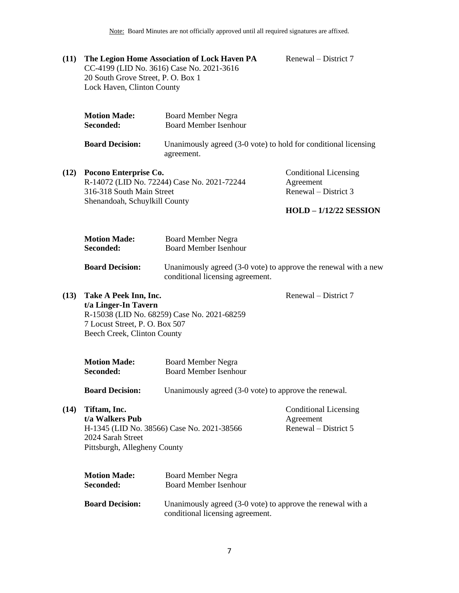Note: Board Minutes are not officially approved until all required signatures are affixed.

**(11) The Legion Home Association of Lock Haven PA** CC-4199 (LID No. 3616) Case No. 2021-3616 20 South Grove Street, P. O. Box 1 Lock Haven, Clinton County

Renewal – District 7

| agreement. |                                                                                                                                                                                                                                       |
|------------|---------------------------------------------------------------------------------------------------------------------------------------------------------------------------------------------------------------------------------------|
|            | <b>Conditional Licensing</b><br>Agreement<br>Renewal – District 3                                                                                                                                                                     |
|            | <b>Board Member Isenhour</b><br>Unanimously agreed (3-0 vote) to hold for conditional licensing<br>Pocono Enterprise Co.<br>R-14072 (LID No. 72244) Case No. 2021-72244<br>316-318 South Main Street<br>Shenandoah, Schuylkill County |

#### **HOLD – 1/12/22 SESSION**

| <b>Motion Made:</b> | Board Member Negra                                                       |
|---------------------|--------------------------------------------------------------------------|
| <b>Seconded:</b>    | Board Member Isenhour                                                    |
| Doord Docision.     | $\mu$ I hopimously govered (2.0 yote) to environg the repoyed with a new |

**Board Decision:** Unanimously agreed (3-0 vote) to approve the renewal with a new conditional licensing agreement.

Renewal – District 7

**(13) Take A Peek Inn, Inc.**

 $(12)$ 

**t/a Linger-In Tavern** R-15038 (LID No. 68259) Case No. 2021-68259 7 Locust Street, P. O. Box 507 Beech Creek, Clinton County

| <b>Motion Made:</b> | <b>Board Member Negra</b> |
|---------------------|---------------------------|
| Seconded:           | Board Member Isenhour     |

**Board Decision:** Unanimously agreed (3-0 vote) to approve the renewal.

**(14) Tiftam, Inc.**

**t/a Walkers Pub** H-1345 (LID No. 38566) Case No. 2021-38566 2024 Sarah Street Pittsburgh, Allegheny County

Conditional Licensing Agreement Renewal – District 5

| <b>Motion Made:</b>    | <b>Board Member Negra</b>                                   |
|------------------------|-------------------------------------------------------------|
| <b>Seconded:</b>       | Board Member Isenhour                                       |
| <b>Board Decision:</b> | Unanimously agreed (3-0 vote) to approve the renewal with a |
|                        | conditional licensing agreement.                            |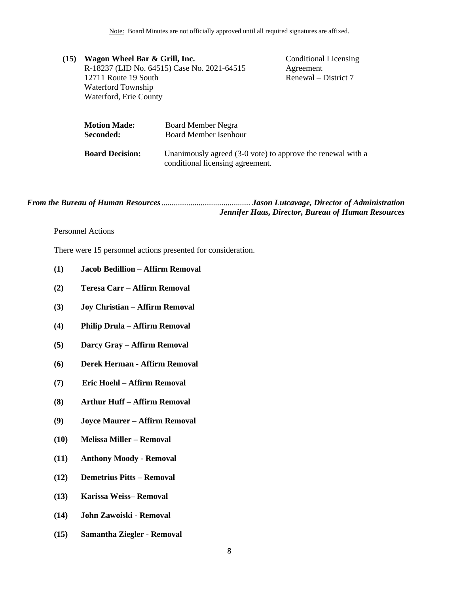Note: Board Minutes are not officially approved until all required signatures are affixed.

| (15) | Wagon Wheel Bar & Grill, Inc. |                                             | <b>Conditional Licensing</b> |
|------|-------------------------------|---------------------------------------------|------------------------------|
|      |                               | R-18237 (LID No. 64515) Case No. 2021-64515 | Agreement                    |
|      | 12711 Route 19 South          |                                             | Renewal – District 7         |
|      | Waterford Township            |                                             |                              |
|      | Waterford, Erie County        |                                             |                              |
|      | <b>Motion Made:</b>           | <b>Board Member Negra</b>                   |                              |
|      | Seconded:                     | <b>Board Member Isenhour</b>                |                              |
|      |                               |                                             |                              |

**Board Decision:** Unanimously agreed (3-0 vote) to approve the renewal with a conditional licensing agreement.

*From the Bureau of Human Resources*........................................... *Jason Lutcavage, Director of Administration Jennifer Haas, Director, Bureau of Human Resources*

#### <span id="page-7-0"></span>Personnel Actions

There were 15 personnel actions presented for consideration.

- **(1) Jacob Bedillion – Affirm Removal**
- **(2) Teresa Carr – Affirm Removal**
- **(3) Joy Christian – Affirm Removal**
- **(4) Philip Drula – Affirm Removal**
- **(5) Darcy Gray – Affirm Removal**
- **(6) Derek Herman - Affirm Removal**
- **(7) Eric Hoehl – Affirm Removal**
- **(8) Arthur Huff – Affirm Removal**
- **(9) Joyce Maurer – Affirm Removal**
- **(10) Melissa Miller – Removal**
- **(11) Anthony Moody - Removal**
- **(12) Demetrius Pitts – Removal**
- **(13) Karissa Weiss– Removal**
- **(14) John Zawoiski - Removal**
- **(15) Samantha Ziegler - Removal**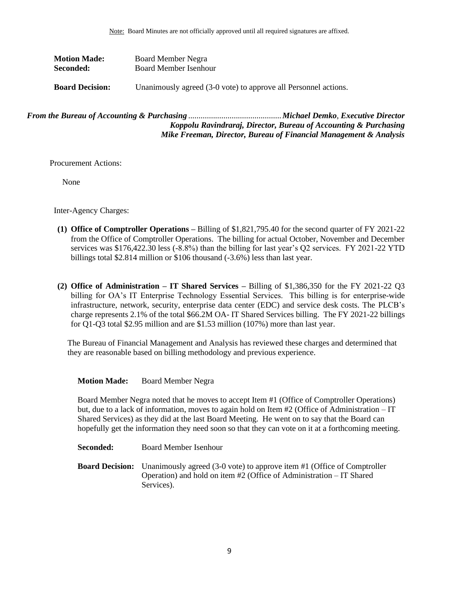| <b>Motion Made:</b>    | Board Member Negra                                              |
|------------------------|-----------------------------------------------------------------|
| <b>Seconded:</b>       | Board Member Isenhour                                           |
|                        |                                                                 |
| <b>Board Decision:</b> | Unanimously agreed (3-0 vote) to approve all Personnel actions. |

```
From the Bureau of Accounting & Purchasing .............................................Michael Demko, Executive Director
                                          Koppolu Ravindraraj, Director, Bureau of Accounting & Purchasing
                                        Mike Freeman, Director, Bureau of Financial Management & Analysis
```
Procurement Actions:

None

Inter-Agency Charges:

- **(1) Office of Comptroller Operations –** Billing of \$1,821,795.40 for the second quarter of FY 2021-22 from the Office of Comptroller Operations. The billing for actual October, November and December services was \$176,422.30 less (-8.8%) than the billing for last year's Q2 services. FY 2021-22 YTD billings total \$2.814 million or \$106 thousand (-3.6%) less than last year.
- **(2) Office of Administration – IT Shared Services –** Billing of \$1,386,350 for the FY 2021-22 Q3 billing for OA's IT Enterprise Technology Essential Services. This billing is for enterprise-wide infrastructure, network, security, enterprise data center (EDC) and service desk costs. The PLCB's charge represents 2.1% of the total \$66.2M OA- IT Shared Services billing. The FY 2021-22 billings for Q1-Q3 total \$2.95 million and are \$1.53 million (107%) more than last year.

The Bureau of Financial Management and Analysis has reviewed these charges and determined that they are reasonable based on billing methodology and previous experience.

#### **Motion Made:** Board Member Negra

Board Member Negra noted that he moves to accept Item #1 (Office of Comptroller Operations) but, due to a lack of information, moves to again hold on Item #2 (Office of Administration – IT Shared Services) as they did at the last Board Meeting. He went on to say that the Board can hopefully get the information they need soon so that they can vote on it at a forthcoming meeting.

**Seconded:** Board Member Isenhour

**Board Decision:** Unanimously agreed (3-0 vote) to approve item #1 (Office of Comptroller Operation) and hold on item #2 (Office of Administration – IT Shared Services).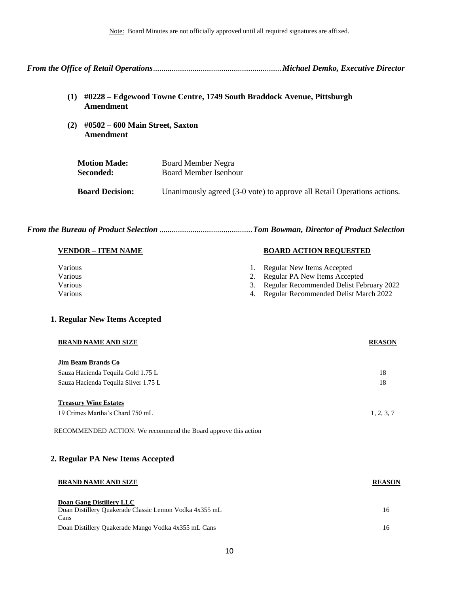*From the Office of Retail Operations*..............................................................*Michael Demko, Executive Director*

- <span id="page-9-0"></span>**(1) #0228 – Edgewood Towne Centre, 1749 South Braddock Avenue, Pittsburgh Amendment**
- **(2) #0502 – 600 Main Street, Saxton Amendment**

| <b>Motion Made:</b>    | Board Member Negra                                                      |
|------------------------|-------------------------------------------------------------------------|
| Seconded:              | Board Member Isenhour                                                   |
| <b>Board Decision:</b> | Unanimously agreed (3-0 vote) to approve all Retail Operations actions. |

|--|--|--|--|--|--|

| <b>VENDOR – ITEM NAME</b> | <b>BOARD ACTION REQUESTED</b>               |
|---------------------------|---------------------------------------------|
| Various                   | 1. Regular New Items Accepted               |
| Various                   | 2. Regular PA New Items Accepted            |
| Various                   | 3. Regular Recommended Delist February 2022 |
| Various                   | 4. Regular Recommended Delist March 2022    |

#### **1. Regular New Items Accepted**

| <b>BRAND NAME AND SIZE</b>           | <b>REASON</b> |
|--------------------------------------|---------------|
| <b>Jim Beam Brands Co</b>            |               |
| Sauza Hacienda Tequila Gold 1.75 L   | 18            |
| Sauza Hacienda Tequila Silver 1.75 L | 18            |
| <b>Treasury Wine Estates</b>         |               |
| 19 Crimes Martha's Chard 750 mL      | 1, 2, 3, 7    |

RECOMMENDED ACTION: We recommend the Board approve this action

#### **2. Regular PA New Items Accepted**

| <b>BRAND NAME AND SIZE</b>                                     | <b>REASON</b> |
|----------------------------------------------------------------|---------------|
| Doan Gang Distillery LLC                                       |               |
| Doan Distillery Quakerade Classic Lemon Vodka 4x355 mL<br>Cans | 16            |
| Doan Distillery Quakerade Mango Vodka 4x355 mL Cans            | 16            |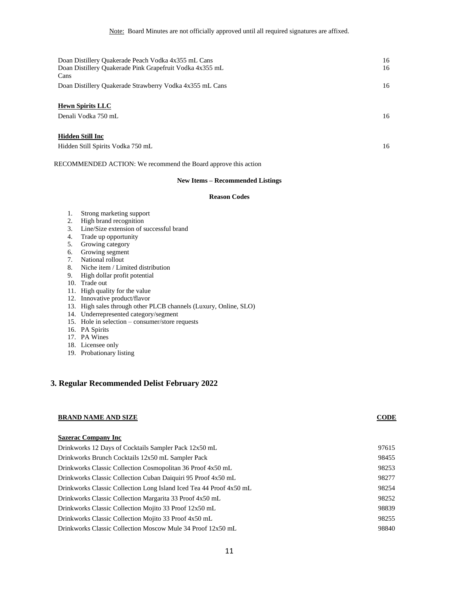| Doan Distillery Quakerade Peach Vodka 4x355 mL Cans      | 16 |
|----------------------------------------------------------|----|
| Doan Distillery Quakerade Pink Grapefruit Vodka 4x355 mL | 16 |
| Cans                                                     |    |
| Doan Distillery Quakerade Strawberry Vodka 4x355 mL Cans | 16 |
| <b>Hewn Spirits LLC</b>                                  |    |
| Denali Vodka 750 mL                                      | 16 |
| <b>Hidden Still Inc</b>                                  |    |
| Hidden Still Spirits Vodka 750 mL                        | 16 |

RECOMMENDED ACTION: We recommend the Board approve this action

#### **New Items – Recommended Listings**

#### **Reason Codes**

- 1. Strong marketing support
- 2. High brand recognition
- 3. Line/Size extension of successful brand
- 4. Trade up opportunity
- 5. Growing category
- 6. Growing segment
- 7. National rollout
- 8. Niche item / Limited distribution
- 9. High dollar profit potential
- 10. Trade out
- 11. High quality for the value
- 12. Innovative product/flavor
- 13. High sales through other PLCB channels (Luxury, Online, SLO)
- 14. Underrepresented category/segment
- 15. Hole in selection consumer/store requests
- 16. PA Spirits
- 17. PA Wines
- 18. Licensee only
- 19. Probationary listing

#### **3. Regular Recommended Delist February 2022**

#### **BRAND NAME AND SIZE CODE**

#### **Sazerac Company Inc**

| Drinkworks 12 Days of Cocktails Sampler Pack 12x50 mL               | 97615 |
|---------------------------------------------------------------------|-------|
| Drinkworks Brunch Cocktails 12x50 mL Sampler Pack                   | 98455 |
| Drinkworks Classic Collection Cosmopolitan 36 Proof 4x50 mL         | 98253 |
| Drinkworks Classic Collection Cuban Daiquiri 95 Proof 4x50 mL       | 98277 |
| Drinkworks Classic Collection Long Island Iced Tea 44 Proof 4x50 mL | 98254 |
| Drinkworks Classic Collection Margarita 33 Proof 4x50 mL            | 98252 |
| Drinkworks Classic Collection Mojito 33 Proof 12x50 mL              | 98839 |
| Drinkworks Classic Collection Mojito 33 Proof 4x50 mL               | 98255 |
| Drinkworks Classic Collection Moscow Mule 34 Proof 12x50 mL         | 98840 |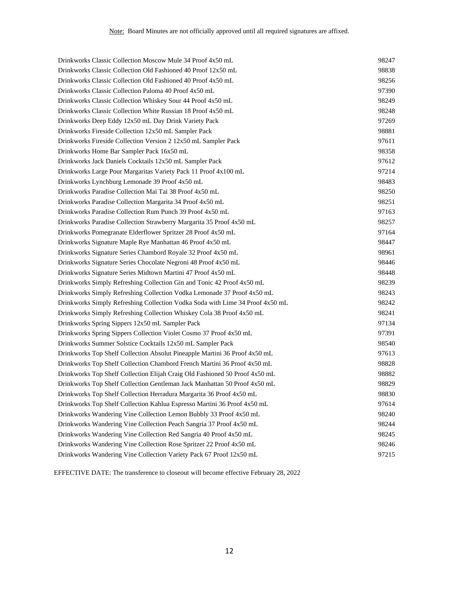| Drinkworks Classic Collection Moscow Mule 34 Proof 4x50 mL                    | 98247 |
|-------------------------------------------------------------------------------|-------|
| Drinkworks Classic Collection Old Fashioned 40 Proof 12x50 mL                 | 98838 |
| Drinkworks Classic Collection Old Fashioned 40 Proof 4x50 mL                  | 98256 |
| Drinkworks Classic Collection Paloma 40 Proof 4x50 mL                         | 97390 |
| Drinkworks Classic Collection Whiskey Sour 44 Proof 4x50 mL                   | 98249 |
| Drinkworks Classic Collection White Russian 18 Proof 4x50 mL                  | 98248 |
| Drinkworks Deep Eddy 12x50 mL Day Drink Variety Pack                          | 97269 |
| Drinkworks Fireside Collection 12x50 mL Sampler Pack                          | 98881 |
| Drinkworks Fireside Collection Version 2 12x50 mL Sampler Pack                | 97611 |
| Drinkworks Home Bar Sampler Pack 16x50 mL                                     | 98358 |
| Drinkworks Jack Daniels Cocktails 12x50 mL Sampler Pack                       | 97612 |
| Drinkworks Large Pour Margaritas Variety Pack 11 Proof 4x100 mL               | 97214 |
| Drinkworks Lynchburg Lemonade 39 Proof 4x50 mL                                | 98483 |
| Drinkworks Paradise Collection Mai Tai 38 Proof 4x50 mL                       | 98250 |
| Drinkworks Paradise Collection Margarita 34 Proof 4x50 mL                     | 98251 |
| Drinkworks Paradise Collection Rum Punch 39 Proof 4x50 mL                     | 97163 |
| Drinkworks Paradise Collection Strawberry Margarita 35 Proof 4x50 mL          | 98257 |
| Drinkworks Pomegranate Elderflower Spritzer 28 Proof 4x50 mL                  | 97164 |
| Drinkworks Signature Maple Rye Manhattan 46 Proof 4x50 mL                     | 98447 |
| Drinkworks Signature Series Chambord Royale 32 Proof 4x50 mL                  | 98961 |
| Drinkworks Signature Series Chocolate Negroni 48 Proof 4x50 mL                | 98446 |
| Drinkworks Signature Series Midtown Martini 47 Proof 4x50 mL                  | 98448 |
| Drinkworks Simply Refreshing Collection Gin and Tonic 42 Proof 4x50 mL        | 98239 |
| Drinkworks Simply Refreshing Collection Vodka Lemonade 37 Proof 4x50 mL       | 98243 |
| Drinkworks Simply Refreshing Collection Vodka Soda with Lime 34 Proof 4x50 mL | 98242 |
| Drinkworks Simply Refreshing Collection Whiskey Cola 38 Proof 4x50 mL         | 98241 |
| Drinkworks Spring Sippers 12x50 mL Sampler Pack                               | 97134 |
| Drinkworks Spring Sippers Collection Violet Cosmo 37 Proof 4x50 mL            | 97391 |
| Drinkworks Summer Solstice Cocktails 12x50 mL Sampler Pack                    | 98540 |
| Drinkworks Top Shelf Collection Absolut Pineapple Martini 36 Proof 4x50 mL    | 97613 |
| Drinkworks Top Shelf Collection Chambord French Martini 36 Proof 4x50 mL      | 98828 |
| Drinkworks Top Shelf Collection Elijah Craig Old Fashioned 50 Proof 4x50 mL   | 98882 |
| Drinkworks Top Shelf Collection Gentleman Jack Manhattan 50 Proof 4x50 mL     | 98829 |
| Drinkworks Top Shelf Collection Herradura Margarita 36 Proof 4x50 mL          | 98830 |
| Drinkworks Top Shelf Collection Kahlua Espresso Martini 36 Proof 4x50 mL      | 97614 |
| Drinkworks Wandering Vine Collection Lemon Bubbly 33 Proof 4x50 mL            | 98240 |
| Drinkworks Wandering Vine Collection Peach Sangria 37 Proof 4x50 mL           | 98244 |
| Drinkworks Wandering Vine Collection Red Sangria 40 Proof 4x50 mL             | 98245 |
| Drinkworks Wandering Vine Collection Rose Spritzer 22 Proof 4x50 mL           | 98246 |
| Drinkworks Wandering Vine Collection Variety Pack 67 Proof 12x50 mL           | 97215 |
|                                                                               |       |

EFFECTIVE DATE: The transference to closeout will become effective February 28, 2022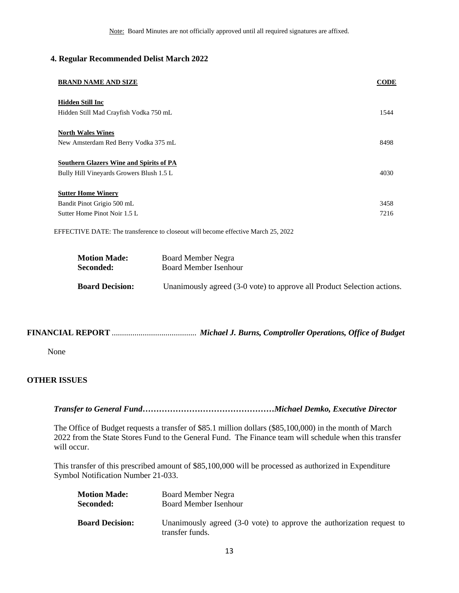#### **4. Regular Recommended Delist March 2022**

| <b>BRAND NAME AND SIZE</b>                     | <b>CODE</b> |
|------------------------------------------------|-------------|
| <b>Hidden Still Inc</b>                        |             |
| Hidden Still Mad Crayfish Vodka 750 mL         | 1544        |
| <b>North Wales Wines</b>                       |             |
| New Amsterdam Red Berry Vodka 375 mL           | 8498        |
| <b>Southern Glazers Wine and Spirits of PA</b> |             |
| Bully Hill Vineyards Growers Blush 1.5 L       | 4030        |
| <b>Sutter Home Winery</b>                      |             |
| Bandit Pinot Grigio 500 mL                     | 3458        |
| Sutter Home Pinot Noir 1.5 L                   | 7216        |

EFFECTIVE DATE: The transference to closeout will become effective March 25, 2022

| <b>Motion Made:</b>    | Board Member Negra                                                      |
|------------------------|-------------------------------------------------------------------------|
| <b>Seconded:</b>       | Board Member Isenhour                                                   |
| <b>Board Decision:</b> | Unanimously agreed (3-0 vote) to approve all Product Selection actions. |

## **FINANCIAL REPORT** ......................................... *Michael J. Burns, Comptroller Operations, Office of Budget*

None

### <span id="page-12-0"></span>**OTHER ISSUES**

 *Transfer to General Fund…………………………………………Michael Demko, Executive Director* 

The Office of Budget requests a transfer of \$85.1 million dollars (\$85,100,000) in the month of March 2022 from the State Stores Fund to the General Fund. The Finance team will schedule when this transfer will occur.

This transfer of this prescribed amount of \$85,100,000 will be processed as authorized in Expenditure Symbol Notification Number 21-033.

| <b>Motion Made:</b>    | Board Member Negra                                                                       |
|------------------------|------------------------------------------------------------------------------------------|
| Seconded:              | <b>Board Member Isenhour</b>                                                             |
| <b>Board Decision:</b> | Unanimously agreed (3-0 vote) to approve the authorization request to<br>transfer funds. |